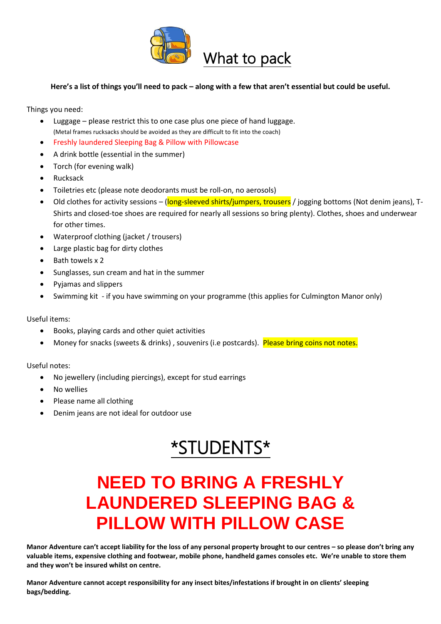

#### **Here's a list of things you'll need to pack – along with a few that aren't essential but could be useful.**

Things you need:

- Luggage please restrict this to one case plus one piece of hand luggage. (Metal frames rucksacks should be avoided as they are difficult to fit into the coach)
- Freshly laundered Sleeping Bag & Pillow with Pillowcase
- A drink bottle (essential in the summer)
- Torch (for evening walk)
- Rucksack
- Toiletries etc (please note deodorants must be roll-on, no aerosols)
- Old clothes for activity sessions (long-sleeved shirts/jumpers, trousers / jogging bottoms (Not denim jeans), T-Shirts and closed-toe shoes are required for nearly all sessions so bring plenty). Clothes, shoes and underwear for other times.
- Waterproof clothing (jacket / trousers)
- Large plastic bag for dirty clothes
- Bath towels x 2
- Sunglasses, sun cream and hat in the summer
- Pyjamas and slippers
- Swimming kit if you have swimming on your programme (this applies for Culmington Manor only)

Useful items:

- Books, playing cards and other quiet activities
- Money for snacks (sweets & drinks), souvenirs (i.e postcards). Please bring coins not notes.

Useful notes:

- No jewellery (including piercings), except for stud earrings
- No wellies
- Please name all clothing
- Denim jeans are not ideal for outdoor use

# \*STUDENTS\*

## **NEED TO BRING A FRESHLY LAUNDERED SLEEPING BAG & PILLOW WITH PILLOW CASE**

**Manor Adventure can't accept liability for the loss of any personal property brought to our centres – so please don't bring any valuable items, expensive clothing and footwear, mobile phone, handheld games consoles etc. We're unable to store them and they won't be insured whilst on centre.**

**Manor Adventure cannot accept responsibility for any insect bites/infestations if brought in on clients' sleeping bags/bedding.**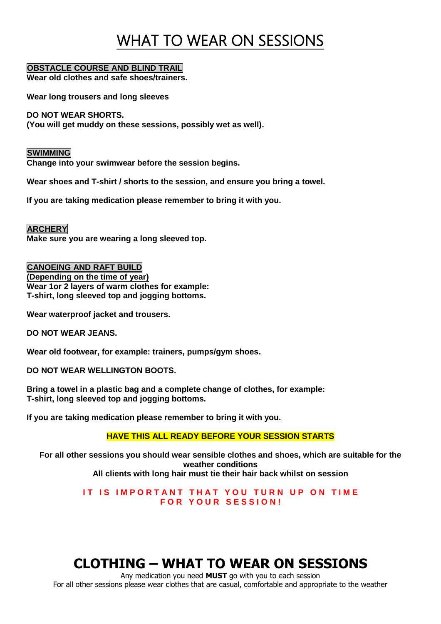## WHAT TO WEAR ON SESSIONS

#### **OBSTACLE COURSE AND BLIND TRAIL**

**Wear old clothes and safe shoes/trainers.**

**Wear long trousers and long sleeves**

**DO NOT WEAR SHORTS. (You will get muddy on these sessions, possibly wet as well).**

**SWIMMING Change into your swimwear before the session begins.**

**Wear shoes and T-shirt / shorts to the session, and ensure you bring a towel.** 

**If you are taking medication please remember to bring it with you.**

**ARCHERY Make sure you are wearing a long sleeved top.**

**CANOEING AND RAFT BUILD (Depending on the time of year) Wear 1or 2 layers of warm clothes for example: T-shirt, long sleeved top and jogging bottoms.**

**Wear waterproof jacket and trousers.**

**DO NOT WEAR JEANS.**

**Wear old footwear, for example: trainers, pumps/gym shoes.**

**DO NOT WEAR WELLINGTON BOOTS.**

**Bring a towel in a plastic bag and a complete change of clothes, for example: T-shirt, long sleeved top and jogging bottoms.**

**If you are taking medication please remember to bring it with you.**

**HAVE THIS ALL READY BEFORE YOUR SESSION STARTS**

**For all other sessions you should wear sensible clothes and shoes, which are suitable for the weather conditions All clients with long hair must tie their hair back whilst on session**

> **IT IS IMPORTANT THAT YOU TURN UP ON TIME F O R Y O U R S E S S I O N !**

### **CLOTHING – WHAT TO WEAR ON SESSIONS**

Any medication you need **MUST** go with you to each session For all other sessions please wear clothes that are casual, comfortable and appropriate to the weather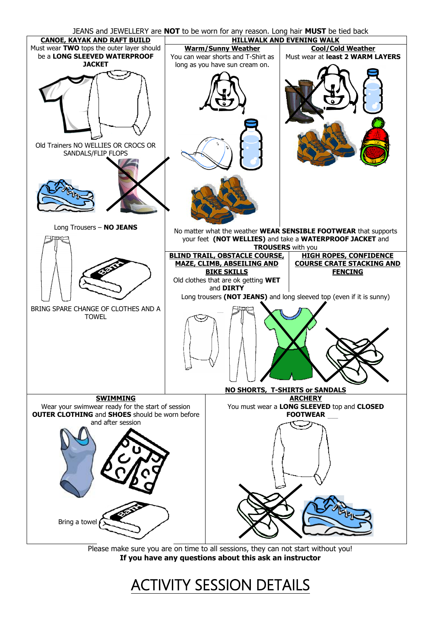JEANS and JEWELLERY are **NOT** to be worn for any reason. Long hair **MUST** be tied back



Please make sure you are on time to all sessions, they can not start without you! **If you have any questions about this ask an instructor**

## ACTIVITY SESSION DETAILS